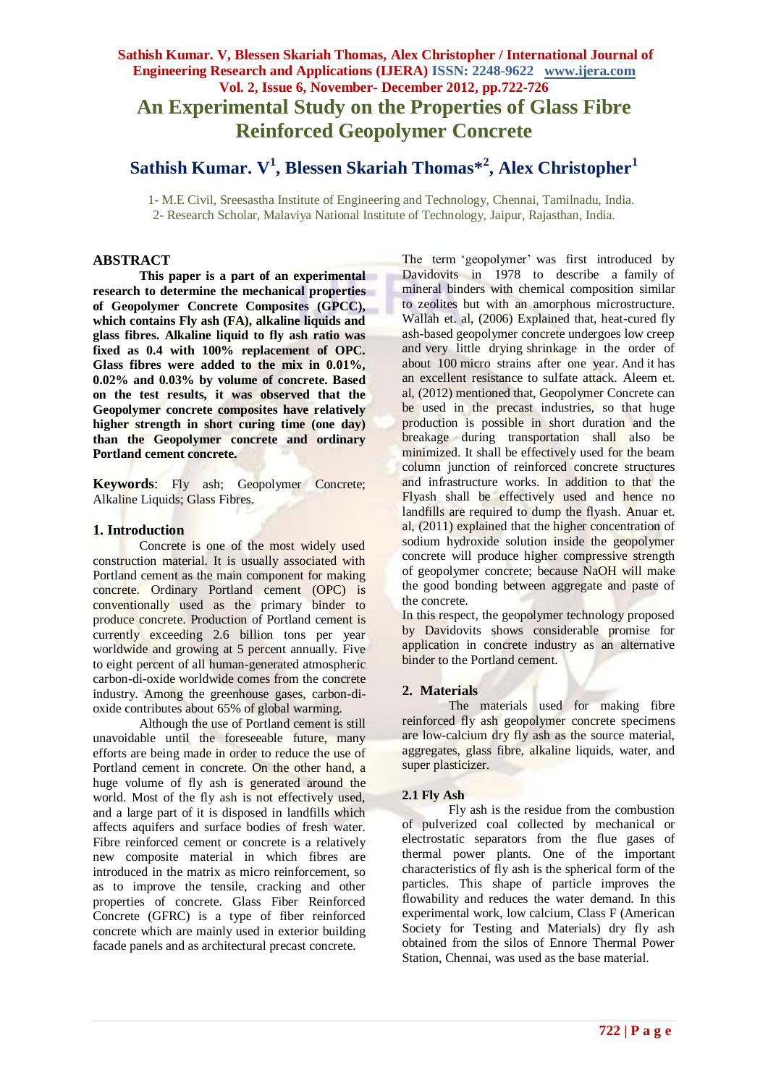# **Sathish Kumar. V, Blessen Skariah Thomas, Alex Christopher / International Journal of Engineering Research and Applications (IJERA) ISSN: 2248-9622 www.ijera.com Vol. 2, Issue 6, November- December 2012, pp.722-726 An Experimental Study on the Properties of Glass Fibre Reinforced Geopolymer Concrete**

# **Sathish Kumar. V<sup>1</sup> , Blessen Skariah Thomas\*<sup>2</sup> , Alex Christopher<sup>1</sup>**

 1- M.E Civil, Sreesastha Institute of Engineering and Technology, Chennai, Tamilnadu, India. 2- Research Scholar, Malaviya National Institute of Technology, Jaipur, Rajasthan, India.

# **ABSTRACT**

**This paper is a part of an experimental research to determine the mechanical properties of Geopolymer Concrete Composites (GPCC), which contains Fly ash (FA), alkaline liquids and glass fibres. Alkaline liquid to fly ash ratio was fixed as 0.4 with 100% replacement of OPC. Glass fibres were added to the mix in 0.01%, 0.02% and 0.03% by volume of concrete. Based on the test results, it was observed that the Geopolymer concrete composites have relatively higher strength in short curing time (one day) than the Geopolymer concrete and ordinary Portland cement concrete.**

**Keywords**: Fly ash; Geopolymer Concrete; Alkaline Liquids; Glass Fibres.

### **1. Introduction**

Concrete is one of the most widely used construction material. It is usually associated with Portland cement as the main component for making concrete. Ordinary Portland cement (OPC) is conventionally used as the primary binder to produce concrete. Production of Portland cement is currently exceeding 2.6 billion tons per year worldwide and growing at 5 percent annually. Five to eight percent of all human-generated atmospheric carbon-di-oxide worldwide comes from the concrete industry. Among the greenhouse gases, carbon-dioxide contributes about 65% of global warming.

Although the use of Portland cement is still unavoidable until the foreseeable future, many efforts are being made in order to reduce the use of Portland cement in concrete. On the other hand, a huge volume of fly ash is generated around the world. Most of the fly ash is not effectively used, and a large part of it is disposed in landfills which affects aquifers and surface bodies of fresh water. Fibre reinforced cement or concrete is a relatively new composite material in which fibres are introduced in the matrix as micro reinforcement, so as to improve the tensile, cracking and other properties of concrete. Glass Fiber Reinforced Concrete (GFRC) is a type of fiber reinforced concrete which are mainly used in exterior building facade panels and as architectural precast concrete.

The term 'geopolymer' was first introduced by Davidovits in 1978 to describe a family of mineral binders with chemical composition similar to zeolites but with an amorphous microstructure. Wallah et. al, (2006) Explained that, heat-cured fly ash-based geopolymer concrete undergoes low creep and very little drying shrinkage in the order of about 100 micro strains after one year. And it has an excellent resistance to sulfate attack. Aleem et. al, (2012) mentioned that, Geopolymer Concrete can be used in the precast industries, so that huge production is possible in short duration and the breakage during transportation shall also be minimized. It shall be effectively used for the beam column junction of reinforced concrete structures and infrastructure works. In addition to that the Flyash shall be effectively used and hence no landfills are required to dump the flyash. Anuar et. al, (2011) explained that the higher concentration of sodium hydroxide solution inside the geopolymer concrete will produce higher compressive strength of geopolymer concrete; because NaOH will make the good bonding between aggregate and paste of the concrete.

In this respect, the geopolymer technology proposed by Davidovits shows considerable promise for application in concrete industry as an alternative binder to the Portland cement.

### **2. Materials**

The materials used for making fibre reinforced fly ash geopolymer concrete specimens are low-calcium dry fly ash as the source material, aggregates, glass fibre, alkaline liquids, water, and super plasticizer.

### **2.1 Fly Ash**

Fly ash is the residue from the combustion of pulverized coal collected by mechanical or electrostatic separators from the flue gases of thermal power plants. One of the important characteristics of fly ash is the spherical form of the particles. This shape of particle improves the flowability and reduces the water demand. In this experimental work, low calcium, Class F (American Society for Testing and Materials) dry fly ash obtained from the silos of Ennore Thermal Power Station, Chennai, was used as the base material.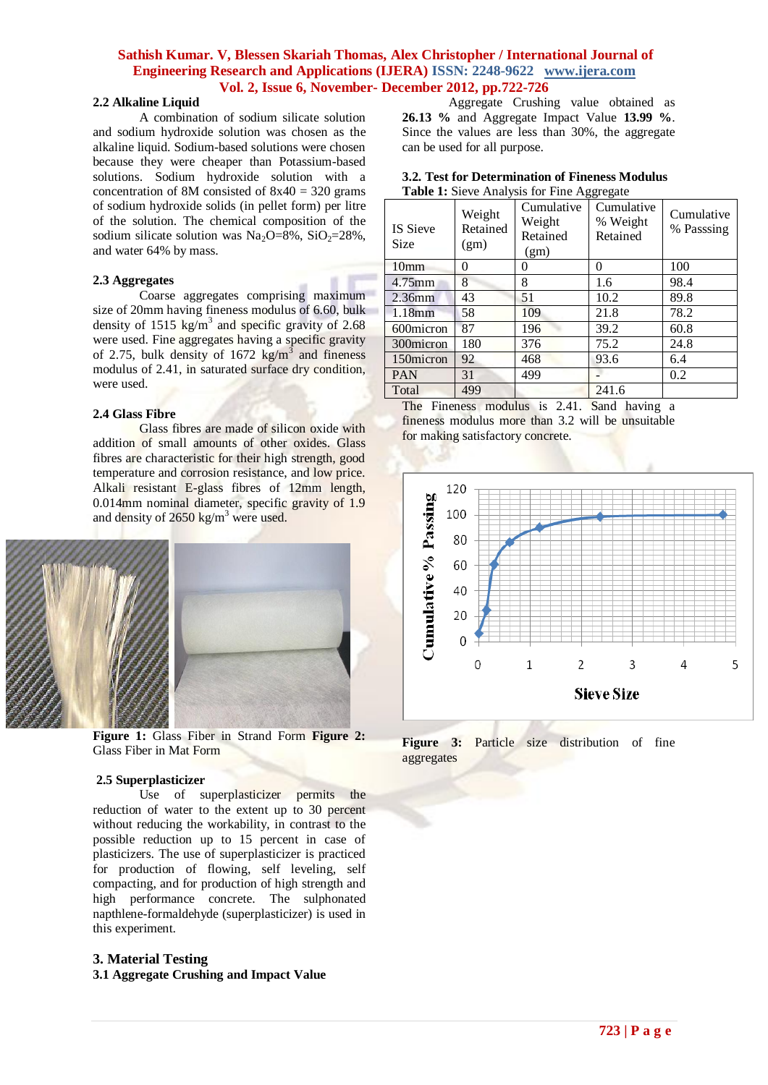## **2.2 Alkaline Liquid**

A combination of sodium silicate solution and sodium hydroxide solution was chosen as the alkaline liquid. Sodium-based solutions were chosen because they were cheaper than Potassium-based solutions. Sodium hydroxide solution with a concentration of 8M consisted of  $8x40 = 320$  grams of sodium hydroxide solids (in pellet form) per litre of the solution. The chemical composition of the sodium silicate solution was  $Na_2O=8\%$ ,  $SiO_2=28\%$ . and water 64% by mass.

### **2.3 Aggregates**

Coarse aggregates comprising maximum size of 20mm having fineness modulus of 6.60, bulk density of 1515  $\text{kg/m}^3$  and specific gravity of 2.68 were used. Fine aggregates having a specific gravity of 2.75, bulk density of  $1672 \text{ kg/m}^3$  and fineness modulus of 2.41, in saturated surface dry condition, were used.

#### **2.4 Glass Fibre**

Glass fibres are made of silicon oxide with addition of small amounts of other oxides. Glass fibres are characteristic for their high strength, good temperature and corrosion resistance, and low price. Alkali resistant E-glass fibres of 12mm length, 0.014mm nominal diameter, specific gravity of 1.9 and density of  $2650 \text{ kg/m}^3$  were used.



**Figure 1:** Glass Fiber in Strand Form **Figure 2:** Glass Fiber in Mat Form

#### **2.5 Superplasticizer**

Use of superplasticizer permits the reduction of water to the extent up to 30 percent without reducing the workability, in contrast to the possible reduction up to 15 percent in case of plasticizers. The use of superplasticizer is practiced for production of flowing, self leveling, self compacting, and for production of high strength and high performance concrete. The sulphonated napthlene-formaldehyde (superplasticizer) is used in this experiment.

# **3. Material Testing**

**3.1 Aggregate Crushing and Impact Value**

Aggregate Crushing value obtained as **26.13 %** and Aggregate Impact Value **13.99 %**. Since the values are less than 30%, the aggregate can be used for all purpose.

| 3.2. Test for Determination of Fineness Modulus   |
|---------------------------------------------------|
| <b>Table 1:</b> Sieve Analysis for Fine Aggregate |

| <b>IS Sieve</b><br>Size | Weight<br>Retained<br>(gm) | Cumulative<br>Weight<br>Retained<br>(gm) | ັ<br>Cumulative<br>% Weight<br>Retained | Cumulative<br>% Passsing |
|-------------------------|----------------------------|------------------------------------------|-----------------------------------------|--------------------------|
| 10 <sub>mm</sub>        | 0                          | 0                                        | $\theta$                                | 100                      |
| $4.75$ mm               | 8                          | 8                                        | 1.6                                     | 98.4                     |
| 2.36mm                  | 43                         | 51                                       | 10.2                                    | 89.8                     |
| 1.18mm                  | 58                         | 109                                      | 21.8                                    | 78.2                     |
| 600micron               | 87                         | 196                                      | 39.2                                    | 60.8                     |
| 300micron               | 180                        | 376                                      | 75.2                                    | 24.8                     |
| 150 micron              | 92                         | 468                                      | 93.6                                    | 6.4                      |
| <b>PAN</b>              | 31                         | 499                                      |                                         | 0.2                      |
| Total                   | 499                        |                                          | 241.6                                   |                          |

The Fineness modulus is 2.41. Sand having a fineness modulus more than 3.2 will be unsuitable for making satisfactory concrete.



**Figure 3:** Particle size distribution of fine aggregates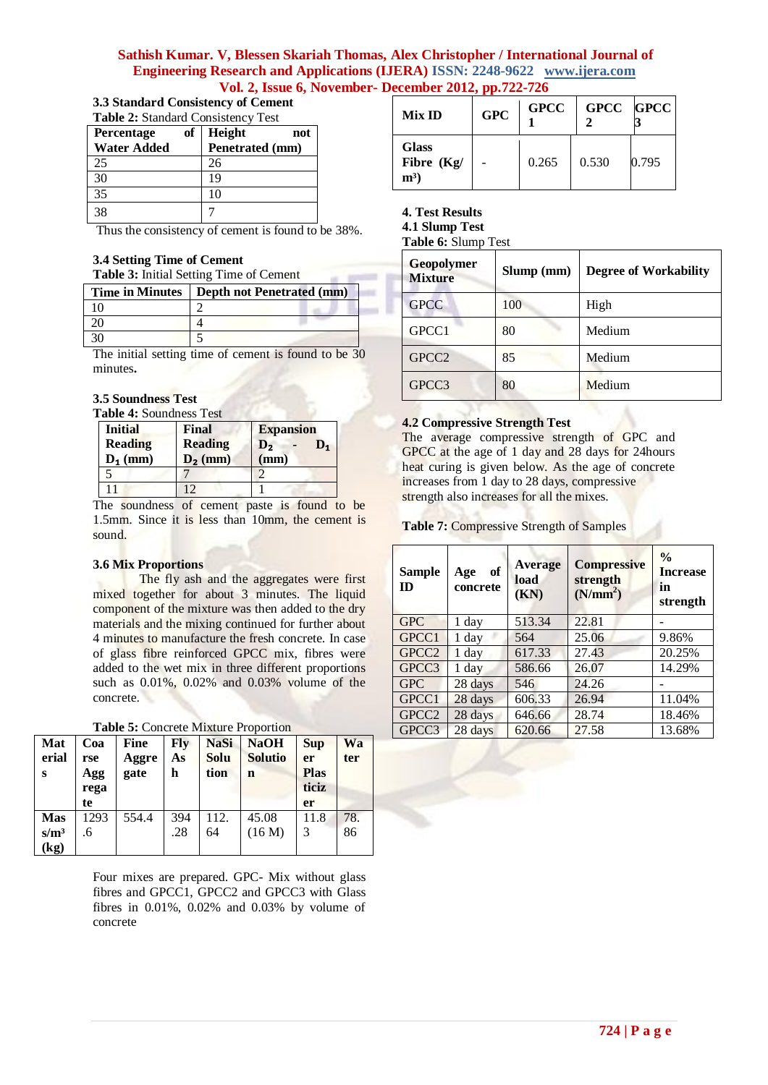| 3.3 Standard Consistency of Cement                         |  |  |  |  |
|------------------------------------------------------------|--|--|--|--|
| $\mathbf{m}$ in $\mathbf{a}$ of independent $\mathbf{m}$ . |  |  |  |  |

| <b>Table 2: Standard Consistency Test</b> |    |                 |     |  |  |
|-------------------------------------------|----|-----------------|-----|--|--|
| <b>Percentage</b>                         | of | Height          | not |  |  |
| <b>Water Added</b>                        |    | Penetrated (mm) |     |  |  |
| 25                                        |    | 26              |     |  |  |
| 30                                        |    | 19              |     |  |  |
| 35                                        |    | 10              |     |  |  |
| 38                                        |    |                 |     |  |  |

Thus the consistency of cement is found to be 38%.

# **3.4 Setting Time of Cement**

|  |  | Table 3: Initial Setting Time of Cement |
|--|--|-----------------------------------------|
|--|--|-----------------------------------------|

| Time in Minutes   Depth not Penetrated (mm) |
|---------------------------------------------|
|                                             |
|                                             |
|                                             |

The initial setting time of cement is found to be 30 minutes**.**

### **3.5 Soundness Test**

**Table 4:** Soundness Test

| <b>Initial</b><br><b>Reading</b><br>$D_1$ (mm) | Final<br><b>Reading</b><br>$D_2$ (mm) | <b>Expansion</b><br>$\mathbf{D}_2$<br>$\mathbf{D}_1$<br>(mm) |
|------------------------------------------------|---------------------------------------|--------------------------------------------------------------|
|                                                |                                       |                                                              |
| 11                                             | $\overline{1}$                        |                                                              |

The soundness of cement paste is found to be 1.5mm. Since it is less than 10mm, the cement is sound.

### **3.6 Mix Proportions**

The fly ash and the aggregates were first mixed together for about 3 minutes. The liquid component of the mixture was then added to the dry materials and the mixing continued for further about 4 minutes to manufacture the fresh concrete. In case of glass fibre reinforced GPCC mix, fibres were added to the wet mix in three different proportions such as 0.01%, 0.02% and 0.03% volume of the concrete.

| Table 5: Concrete Mixture Proportion |  |  |
|--------------------------------------|--|--|
|                                      |  |  |

| Mat<br>erial<br>S             | Coa<br>rse<br>Agg<br>rega<br>te | Fine<br>Aggre<br>gate | Flv<br>As<br>h | <b>NaSi</b><br>Solu<br>tion | <b>NaOH</b><br><b>Solutio</b><br>n | <b>Sup</b><br>er<br><b>Plas</b><br>ticiz<br>er | Wa<br>ter |
|-------------------------------|---------------------------------|-----------------------|----------------|-----------------------------|------------------------------------|------------------------------------------------|-----------|
| <b>Mas</b><br>$s/m^3$<br>(kg) | 1293<br>.6                      | 554.4                 | 394<br>.28     | 112.<br>64                  | 45.08<br>(16 M)                    | 11.8<br>3                                      | 78.<br>86 |

Four mixes are prepared. GPC- Mix without glass fibres and GPCC1, GPCC2 and GPCC3 with Glass fibres in 0.01%, 0.02% and 0.03% by volume of concrete

| Mix ID                              | <b>GPC</b> | <b>GPCC</b> | GPCC GPCC |       |
|-------------------------------------|------------|-------------|-----------|-------|
| <b>Glass</b><br>Fibre (Kg/<br>$m^3$ |            | 0.265       | 0.530     | 0.795 |

**4. Test Results**

**4.1 Slump Test**

**Table 6:** Slump Test

| Geopolymer<br><b>Mixture</b> | Slump (mm) | <b>Degree of Workability</b> |
|------------------------------|------------|------------------------------|
| <b>GPCC</b>                  | 100        | High                         |
| GPCC1                        | 80         | Medium                       |
| GPCC <sub>2</sub>            | 85         | Medium                       |
| GPCC3                        | 80         | Medium                       |

### **4.2 Compressive Strength Test**

The average compressive strength of GPC and GPCC at the age of 1 day and 28 days for 24hours heat curing is given below. As the age of concrete increases from 1 day to 28 days, compressive strength also increases for all the mixes.

**Table 7:** Compressive Strength of Samples

| <b>Sample</b><br><b>ID</b> | of<br>Age<br>concrete | <b>Average</b><br>load<br>(KN) | <b>Compressive</b><br>strength<br>(N/mm <sup>2</sup> ) | $\frac{0}{0}$<br><b>Increase</b><br>in<br>strength |
|----------------------------|-----------------------|--------------------------------|--------------------------------------------------------|----------------------------------------------------|
| <b>GPC</b>                 | 1 day                 | 513.34                         | 22.81                                                  |                                                    |
| GPCC1                      | 1 day                 | 564                            | 25.06                                                  | 9.86%                                              |
| GPCC <sub>2</sub>          | 1 day                 | 617.33                         | 27.43                                                  | 20.25%                                             |
| GPCC3                      | 1 day                 | 586.66                         | 26.07                                                  | 14.29%                                             |
| <b>GPC</b>                 | 28 days               | 546                            | 24.26                                                  |                                                    |
| GPCC1                      | 28 days               | 606.33                         | 26.94                                                  | 11.04%                                             |
| GPCC <sub>2</sub>          | 28 days               | 646.66                         | 28.74                                                  | 18.46%                                             |
| GPCC3                      | 28 days               | 620.66                         | 27.58                                                  | 13.68%                                             |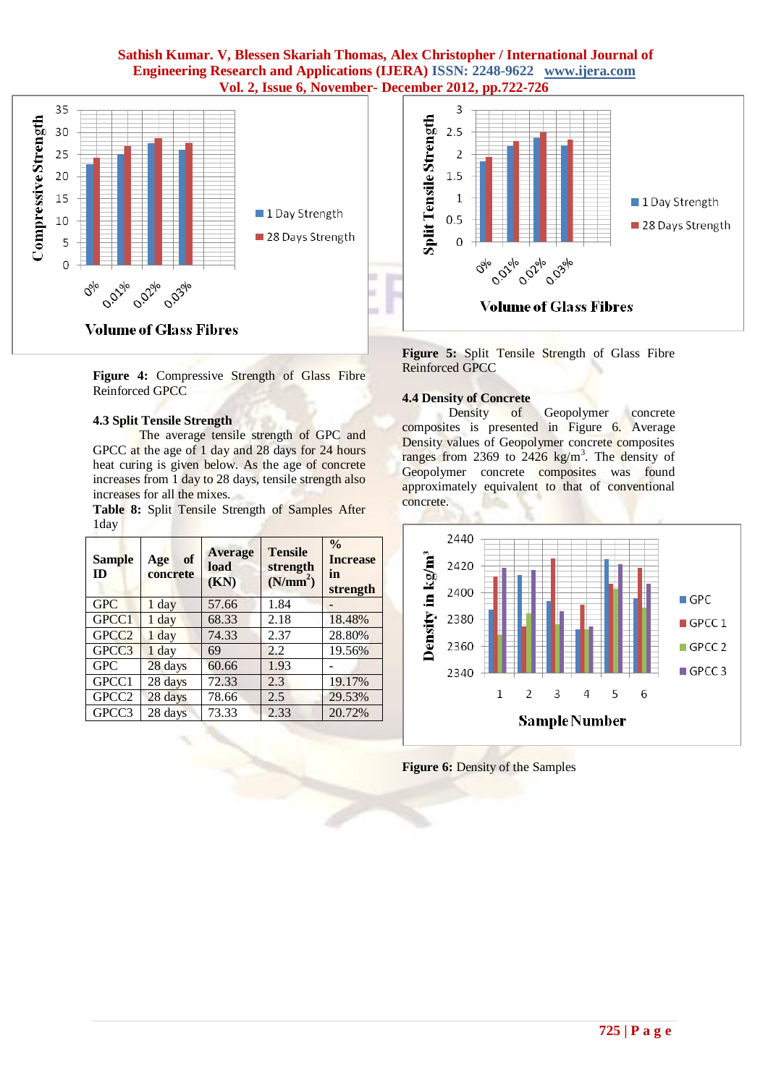

**Figure 4:** Compressive Strength of Glass Fibre Reinforced GPCC

# **4.3 Split Tensile Strength**

The average tensile strength of GPC and GPCC at the age of 1 day and 28 days for 24 hours heat curing is given below. As the age of concrete increases from 1 day to 28 days, tensile strength also increases for all the mixes.

**Table 8:** Split Tensile Strength of Samples After 1day

| <b>Sample</b><br>ID | of<br>Age<br>concrete | <b>Average</b><br>load<br>(KN) | <b>Tensile</b><br>strength<br>(N/mm <sup>2</sup> ) | $\frac{0}{0}$<br><b>Increase</b><br>in<br>strength |
|---------------------|-----------------------|--------------------------------|----------------------------------------------------|----------------------------------------------------|
| <b>GPC</b>          | 1 day                 | 57.66                          | 1.84                                               |                                                    |
| GPCC1               | 1 day                 | 68.33                          | 2.18                                               | 18.48%                                             |
| GPCC <sub>2</sub>   | $1$ day               | 74.33                          | 2.37                                               | 28.80%                                             |
| GPCC3               | $1$ day               | 69                             | 2.2                                                | 19.56%                                             |
| <b>GPC</b>          | 28 days               | 60.66                          | 1.93                                               |                                                    |
| GPCC1               | 28 days               | 72.33                          | 2.3                                                | 19.17%                                             |
| GPCC <sub>2</sub>   | 28 days               | 78.66                          | 2.5                                                | 29.53%                                             |
| GPCC3               | 28 days               | 73.33                          | 2.33                                               | 20.72%                                             |



**Figure 5:** Split Tensile Strength of Glass Fibre Reinforced GPCC

### **4.4 Density of Concrete**

Density of Geopolymer concrete composites is presented in Figure 6. Average Density values of Geopolymer concrete composites ranges from 2369 to  $2426 \text{ kg/m}^3$ . The density of Geopolymer concrete composites was found approximately equivalent to that of conventional concrete.



**Figure 6:** Density of the Samples